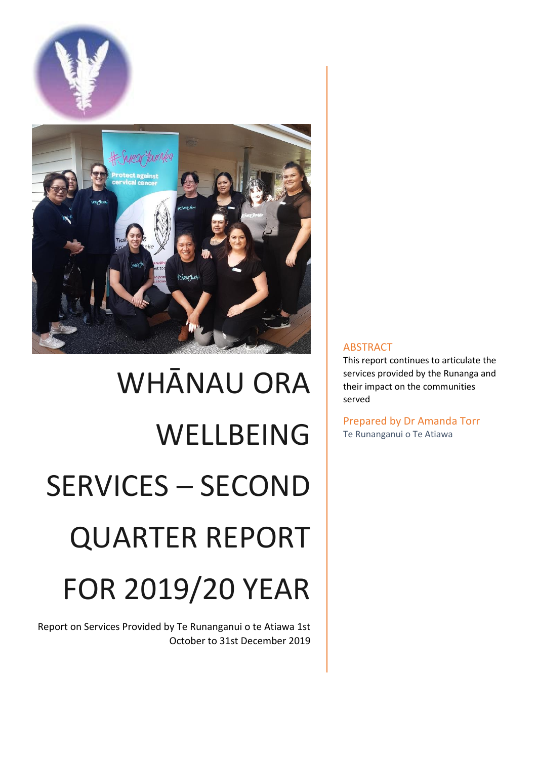

# WHĀNAU ORA WELLBEING SERVICES – SECOND QUARTER REPORT FOR 2019/20 YEAR

Report on Services Provided by Te Runanganui o te Atiawa 1st October to 31st December 2019

# ABSTRACT

This report continues to articulate the services provided by the Runanga and their impact on the communities served

Prepared by Dr Amanda Torr Te Runanganui o Te Atiawa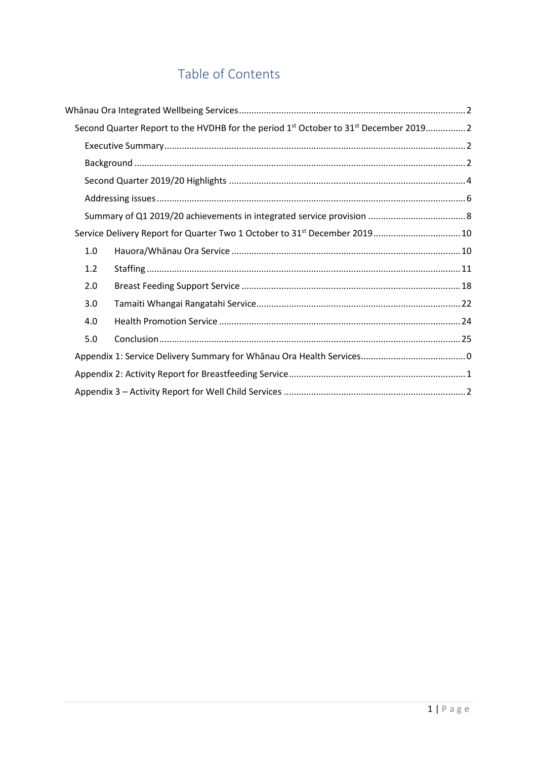# Table of Contents

|     | Second Quarter Report to the HVDHB for the period 1 <sup>st</sup> October to 31 <sup>st</sup> December 2019 2 |
|-----|---------------------------------------------------------------------------------------------------------------|
|     |                                                                                                               |
|     |                                                                                                               |
|     |                                                                                                               |
|     |                                                                                                               |
|     |                                                                                                               |
|     | Service Delivery Report for Quarter Two 1 October to 31 <sup>st</sup> December 2019 10                        |
| 1.0 |                                                                                                               |
| 1.2 |                                                                                                               |
| 2.0 |                                                                                                               |
| 3.0 |                                                                                                               |
| 4.0 |                                                                                                               |
| 5.0 |                                                                                                               |
|     |                                                                                                               |
|     |                                                                                                               |
|     |                                                                                                               |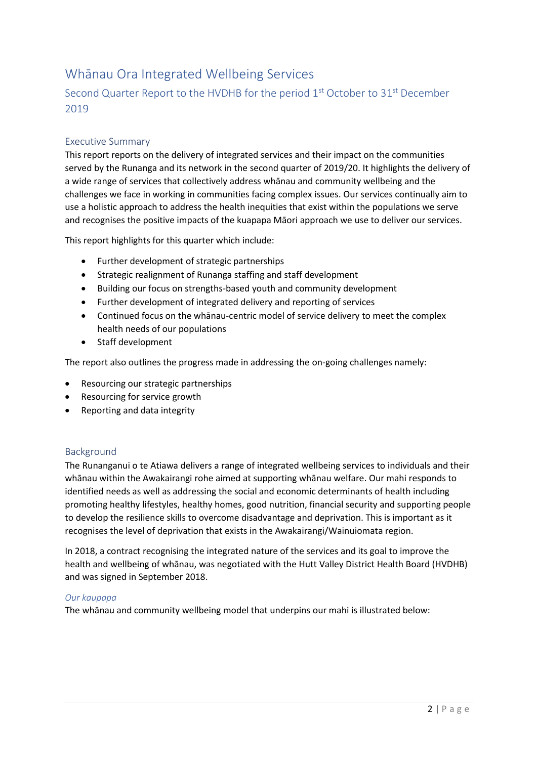# <span id="page-2-0"></span>Whānau Ora Integrated Wellbeing Services

# <span id="page-2-1"></span>Second Quarter Report to the HVDHB for the period 1<sup>st</sup> October to 31<sup>st</sup> December 2019

# <span id="page-2-2"></span>Executive Summary

This report reports on the delivery of integrated services and their impact on the communities served by the Runanga and its network in the second quarter of 2019/20. It highlights the delivery of a wide range of services that collectively address whānau and community wellbeing and the challenges we face in working in communities facing complex issues. Our services continually aim to use a holistic approach to address the health inequities that exist within the populations we serve and recognises the positive impacts of the kuapapa Māori approach we use to deliver our services.

This report highlights for this quarter which include:

- Further development of strategic partnerships
- Strategic realignment of Runanga staffing and staff development
- Building our focus on strengths-based youth and community development
- Further development of integrated delivery and reporting of services
- Continued focus on the whānau-centric model of service delivery to meet the complex health needs of our populations
- Staff development

The report also outlines the progress made in addressing the on-going challenges namely:

- Resourcing our strategic partnerships
- Resourcing for service growth
- Reporting and data integrity

## <span id="page-2-3"></span>Background

The Runanganui o te Atiawa delivers a range of integrated wellbeing services to individuals and their whānau within the Awakairangi rohe aimed at supporting whānau welfare. Our mahi responds to identified needs as well as addressing the social and economic determinants of health including promoting healthy lifestyles, healthy homes, good nutrition, financial security and supporting people to develop the resilience skills to overcome disadvantage and deprivation. This is important as it recognises the level of deprivation that exists in the Awakairangi/Wainuiomata region.

In 2018, a contract recognising the integrated nature of the services and its goal to improve the health and wellbeing of whānau, was negotiated with the Hutt Valley District Health Board (HVDHB) and was signed in September 2018.

## *Our kaupapa*

The whānau and community wellbeing model that underpins our mahi is illustrated below: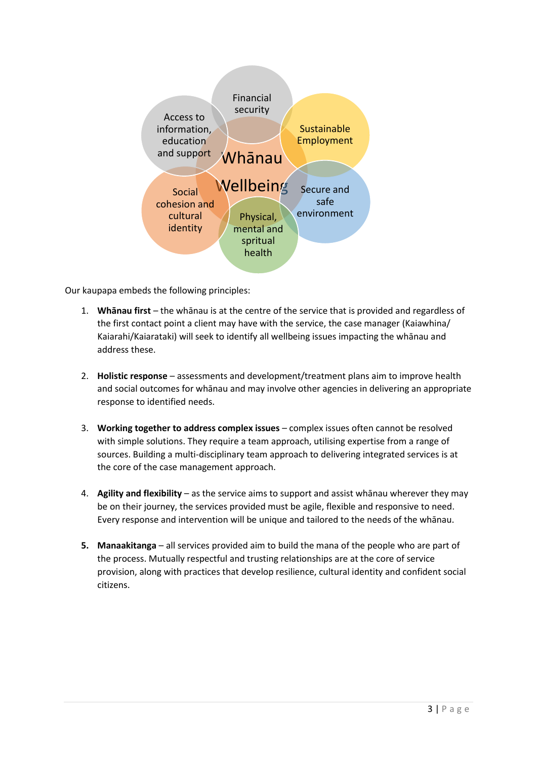

Our kaupapa embeds the following principles:

- 1. **Whānau first** the whānau is at the centre of the service that is provided and regardless of the first contact point a client may have with the service, the case manager (Kaiawhina/ Kaiarahi/Kaiarataki) will seek to identify all wellbeing issues impacting the whānau and address these.
- 2. **Holistic response** assessments and development/treatment plans aim to improve health and social outcomes for whānau and may involve other agencies in delivering an appropriate response to identified needs.
- 3. **Working together to address complex issues** complex issues often cannot be resolved with simple solutions. They require a team approach, utilising expertise from a range of sources. Building a multi-disciplinary team approach to delivering integrated services is at the core of the case management approach.
- 4. **Agility and flexibility** as the service aims to support and assist whānau wherever they may be on their journey, the services provided must be agile, flexible and responsive to need. Every response and intervention will be unique and tailored to the needs of the whānau.
- **5. Manaakitanga**  all services provided aim to build the mana of the people who are part of the process. Mutually respectful and trusting relationships are at the core of service provision, along with practices that develop resilience, cultural identity and confident social citizens.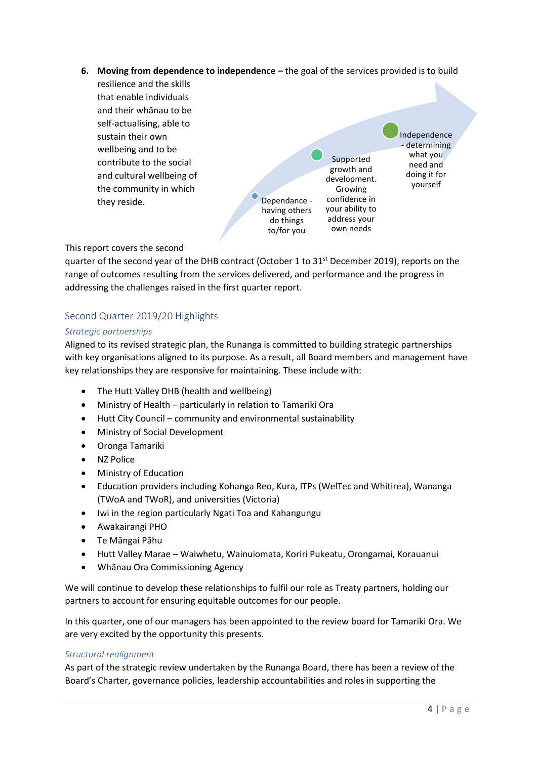**6. Moving from dependence to independence –** the goal of the services provided is to build



## This report covers the second

quarter of the second year of the DHB contract (October 1 to 31<sup>st</sup> December 2019), reports on the range of outcomes resulting from the services delivered, and performance and the progress in addressing the challenges raised in the first quarter report.

## <span id="page-4-0"></span>Second Quarter 2019/20 Highlights

#### *Strategic partnerships*

Aligned to its revised strategic plan, the Runanga is committed to building strategic partnerships with key organisations aligned to its purpose. As a result, all Board members and management have key relationships they are responsive for maintaining. These include with:

- The Hutt Valley DHB (health and wellbeing)
- Ministry of Health particularly in relation to Tamariki Ora
- Hutt City Council community and environmental sustainability
- Ministry of Social Development
- Oronga Tamariki
- NZ Police
- Ministry of Education
- Education providers including Kohanga Reo, Kura, ITPs (WelTec and Whitirea), Wananga (TWoA and TWoR), and universities (Victoria)
- Iwi in the region particularly Ngati Toa and Kahangungu
- Awakairangi PHO
- Te Māngai Pāhu
- Hutt Valley Marae Waiwhetu, Wainuiomata, Koriri Pukeatu, Orongamai, Korauanui
- Whānau Ora Commissioning Agency

We will continue to develop these relationships to fulfil our role as Treaty partners, holding our partners to account for ensuring equitable outcomes for our people.

In this quarter, one of our managers has been appointed to the review board for Tamariki Ora. We are very excited by the opportunity this presents.

#### *Structural realignment*

As part of the strategic review undertaken by the Runanga Board, there has been a review of the Board's Charter, governance policies, leadership accountabilities and roles in supporting the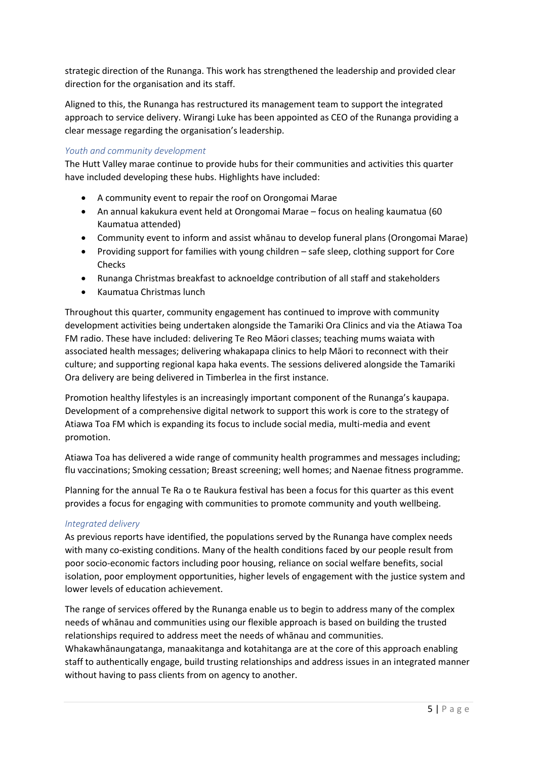strategic direction of the Runanga. This work has strengthened the leadership and provided clear direction for the organisation and its staff.

Aligned to this, the Runanga has restructured its management team to support the integrated approach to service delivery. Wirangi Luke has been appointed as CEO of the Runanga providing a clear message regarding the organisation's leadership.

## *Youth and community development*

The Hutt Valley marae continue to provide hubs for their communities and activities this quarter have included developing these hubs. Highlights have included:

- A community event to repair the roof on Orongomai Marae
- An annual kakukura event held at Orongomai Marae focus on healing kaumatua (60 Kaumatua attended)
- Community event to inform and assist whānau to develop funeral plans (Orongomai Marae)
- Providing support for families with young children safe sleep, clothing support for Core **Checks**
- Runanga Christmas breakfast to acknoeldge contribution of all staff and stakeholders
- Kaumatua Christmas lunch

Throughout this quarter, community engagement has continued to improve with community development activities being undertaken alongside the Tamariki Ora Clinics and via the Atiawa Toa FM radio. These have included: delivering Te Reo Māori classes; teaching mums waiata with associated health messages; delivering whakapapa clinics to help Māori to reconnect with their culture; and supporting regional kapa haka events. The sessions delivered alongside the Tamariki Ora delivery are being delivered in Timberlea in the first instance.

Promotion healthy lifestyles is an increasingly important component of the Runanga's kaupapa. Development of a comprehensive digital network to support this work is core to the strategy of Atiawa Toa FM which is expanding its focus to include social media, multi-media and event promotion.

Atiawa Toa has delivered a wide range of community health programmes and messages including; flu vaccinations; Smoking cessation; Breast screening; well homes; and Naenae fitness programme.

Planning for the annual Te Ra o te Raukura festival has been a focus for this quarter as this event provides a focus for engaging with communities to promote community and youth wellbeing.

## *Integrated delivery*

As previous reports have identified, the populations served by the Runanga have complex needs with many co-existing conditions. Many of the health conditions faced by our people result from poor socio-economic factors including poor housing, reliance on social welfare benefits, social isolation, poor employment opportunities, higher levels of engagement with the justice system and lower levels of education achievement.

The range of services offered by the Runanga enable us to begin to address many of the complex needs of whānau and communities using our flexible approach is based on building the trusted relationships required to address meet the needs of whānau and communities.

Whakawhānaungatanga, manaakitanga and kotahitanga are at the core of this approach enabling staff to authentically engage, build trusting relationships and address issues in an integrated manner without having to pass clients from on agency to another.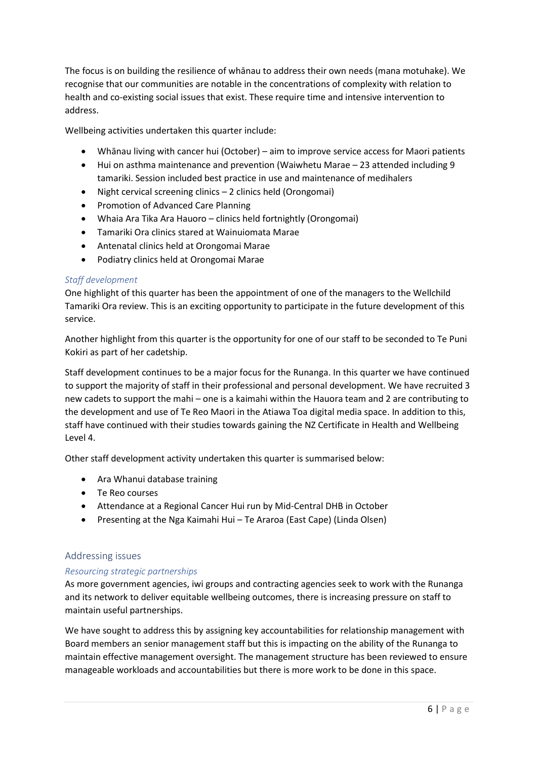The focus is on building the resilience of whānau to address their own needs (mana motuhake). We recognise that our communities are notable in the concentrations of complexity with relation to health and co-existing social issues that exist. These require time and intensive intervention to address.

Wellbeing activities undertaken this quarter include:

- Whānau living with cancer hui (October) aim to improve service access for Maori patients
- Hui on asthma maintenance and prevention (Waiwhetu Marae 23 attended including 9 tamariki. Session included best practice in use and maintenance of medihalers
- Night cervical screening clinics 2 clinics held (Orongomai)
- Promotion of Advanced Care Planning
- Whaia Ara Tika Ara Hauoro clinics held fortnightly (Orongomai)
- Tamariki Ora clinics stared at Wainuiomata Marae
- Antenatal clinics held at Orongomai Marae
- Podiatry clinics held at Orongomai Marae

#### *Staff development*

One highlight of this quarter has been the appointment of one of the managers to the Wellchild Tamariki Ora review. This is an exciting opportunity to participate in the future development of this service.

Another highlight from this quarter is the opportunity for one of our staff to be seconded to Te Puni Kokiri as part of her cadetship.

Staff development continues to be a major focus for the Runanga. In this quarter we have continued to support the majority of staff in their professional and personal development. We have recruited 3 new cadets to support the mahi – one is a kaimahi within the Hauora team and 2 are contributing to the development and use of Te Reo Maori in the Atiawa Toa digital media space. In addition to this, staff have continued with their studies towards gaining the NZ Certificate in Health and Wellbeing Level 4.

Other staff development activity undertaken this quarter is summarised below:

- Ara Whanui database training
- Te Reo courses
- Attendance at a Regional Cancer Hui run by Mid-Central DHB in October
- Presenting at the Nga Kaimahi Hui Te Araroa (East Cape) (Linda Olsen)

#### <span id="page-6-0"></span>Addressing issues

#### *Resourcing strategic partnerships*

As more government agencies, iwi groups and contracting agencies seek to work with the Runanga and its network to deliver equitable wellbeing outcomes, there is increasing pressure on staff to maintain useful partnerships.

We have sought to address this by assigning key accountabilities for relationship management with Board members an senior management staff but this is impacting on the ability of the Runanga to maintain effective management oversight. The management structure has been reviewed to ensure manageable workloads and accountabilities but there is more work to be done in this space.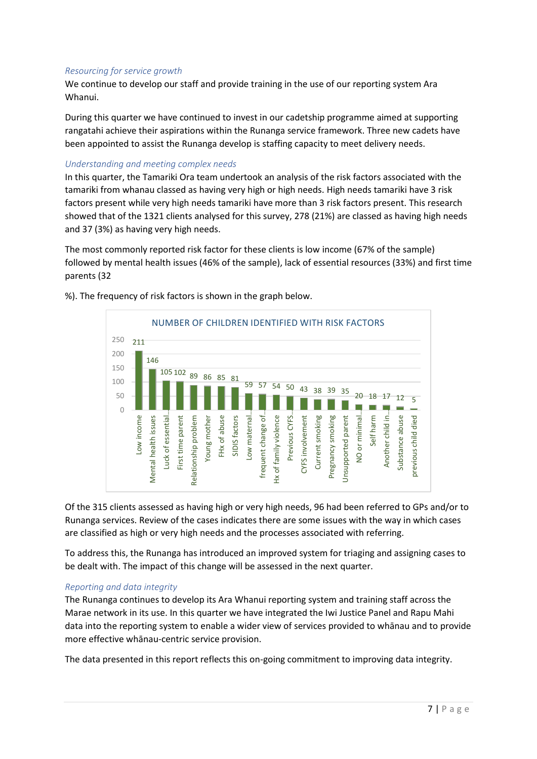#### *Resourcing for service growth*

We continue to develop our staff and provide training in the use of our reporting system Ara Whanui.

During this quarter we have continued to invest in our cadetship programme aimed at supporting rangatahi achieve their aspirations within the Runanga service framework. Three new cadets have been appointed to assist the Runanga develop is staffing capacity to meet delivery needs.

#### *Understanding and meeting complex needs*

In this quarter, the Tamariki Ora team undertook an analysis of the risk factors associated with the tamariki from whanau classed as having very high or high needs. High needs tamariki have 3 risk factors present while very high needs tamariki have more than 3 risk factors present. This research showed that of the 1321 clients analysed for this survey, 278 (21%) are classed as having high needs and 37 (3%) as having very high needs.

The most commonly reported risk factor for these clients is low income (67% of the sample) followed by mental health issues (46% of the sample), lack of essential resources (33%) and first time parents (32



%). The frequency of risk factors is shown in the graph below.

Of the 315 clients assessed as having high or very high needs, 96 had been referred to GPs and/or to Runanga services. Review of the cases indicates there are some issues with the way in which cases are classified as high or very high needs and the processes associated with referring.

To address this, the Runanga has introduced an improved system for triaging and assigning cases to be dealt with. The impact of this change will be assessed in the next quarter.

#### *Reporting and data integrity*

The Runanga continues to develop its Ara Whanui reporting system and training staff across the Marae network in its use. In this quarter we have integrated the Iwi Justice Panel and Rapu Mahi data into the reporting system to enable a wider view of services provided to whānau and to provide more effective whānau-centric service provision.

The data presented in this report reflects this on-going commitment to improving data integrity.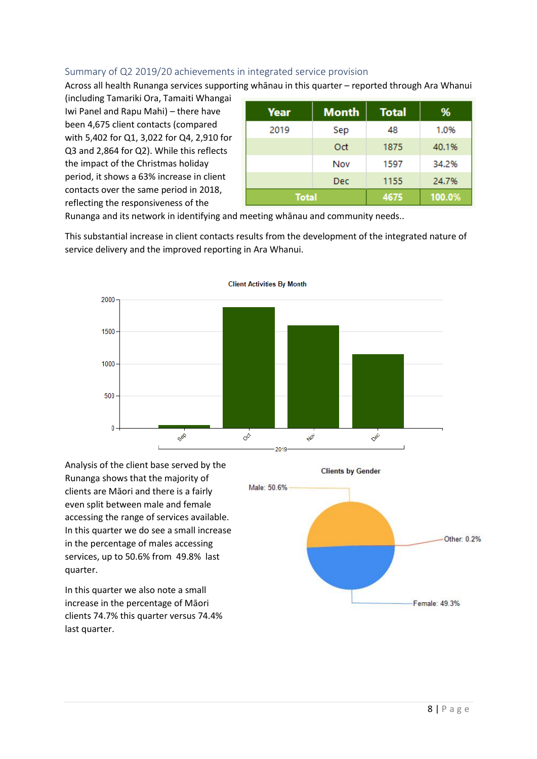# <span id="page-8-0"></span>Summary of Q2 2019/20 achievements in integrated service provision

Across all health Runanga services supporting whānau in this quarter – reported through Ara Whanui

(including Tamariki Ora, Tamaiti Whangai Iwi Panel and Rapu Mahi) – there have been 4,675 client contacts (compared with 5,402 for Q1, 3,022 for Q4, 2,910 for Q3 and 2,864 for Q2). While this reflects the impact of the Christmas holiday period, it shows a 63% increase in client contacts over the same period in 2018, reflecting the responsiveness of the

| Year         | <b>Month</b> | <b>Total</b> | %      |
|--------------|--------------|--------------|--------|
| 2019         | Sep          | 48           | 1.0%   |
|              | Oct          | 1875         | 40.1%  |
|              | Nov          | 1597         | 34.2%  |
|              | <b>Dec</b>   | 1155         | 24.7%  |
| <b>Total</b> |              | 4675         | 100.0% |

Runanga and its network in identifying and meeting whānau and community needs..

This substantial increase in client contacts results from the development of the integrated nature of service delivery and the improved reporting in Ara Whanui.



Analysis of the client base served by the Runanga shows that the majority of clients are Māori and there is a fairly even split between male and female accessing the range of services available. In this quarter we do see a small increase in the percentage of males accessing services, up to 50.6% from 49.8% last quarter.

In this quarter we also note a small increase in the percentage of Māori clients 74.7% this quarter versus 74.4% last quarter.

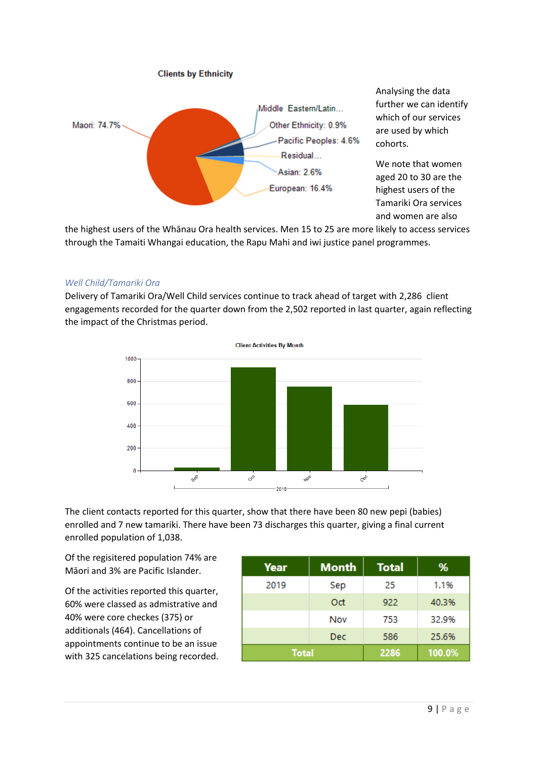

Analysing the data further we can identify which of our services are used by which cohorts.

We note that women aged 20 to 30 are the highest users of the Tamariki Ora services and women are also

the highest users of the Whānau Ora health services. Men 15 to 25 are more likely to access services through the Tamaiti Whangai education, the Rapu Mahi and iwi justice panel programmes.

#### *Well Child/Tamariki Ora*

Delivery of Tamariki Ora/Well Child services continue to track ahead of target with 2,286 client engagements recorded for the quarter down from the 2,502 reported in last quarter, again reflecting the impact of the Christmas period.



The client contacts reported for this quarter, show that there have been 80 new pepi (babies) enrolled and 7 new tamariki. There have been 73 discharges this quarter, giving a final current enrolled population of 1,038.

Of the regisitered population 74% are Māori and 3% are Pacific Islander.

Of the activities reported this quarter, 60% were classed as admistrative and 40% were core checkes (375) or additionals (464). Cancellations of appointments continue to be an issue with 325 cancelations being recorded.

| Year         | <b>Month</b> | <b>Total</b> | %      |
|--------------|--------------|--------------|--------|
| 2019         | Sep          | 25           | 1.1%   |
|              | Oct          | 922          | 40.3%  |
|              | Nov          | 753          | 32.9%  |
|              | Dec          | 586          | 25.6%  |
| <b>Total</b> |              | 2286         | 100.0% |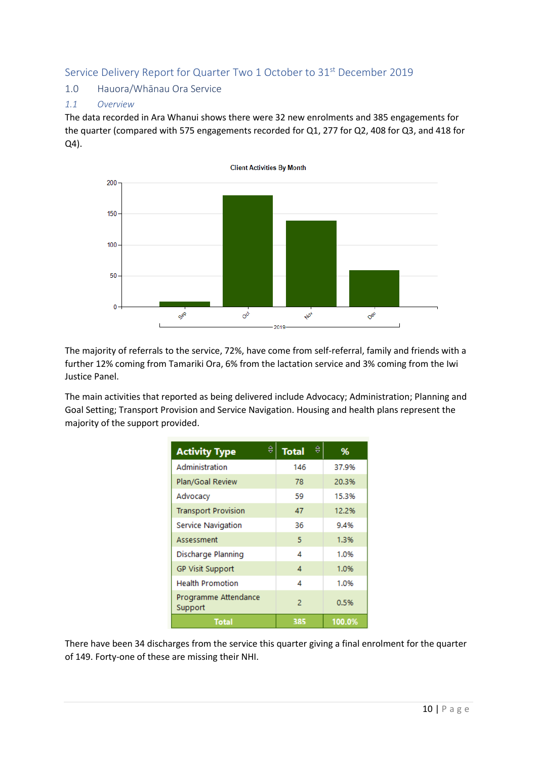# <span id="page-10-0"></span>Service Delivery Report for Quarter Two 1 October to 31<sup>st</sup> December 2019

# <span id="page-10-1"></span>1.0 Hauora/Whānau Ora Service

## *1.1 Overview*

The data recorded in Ara Whanui shows there were 32 new enrolments and 385 engagements for the quarter (compared with 575 engagements recorded for Q1, 277 for Q2, 408 for Q3, and 418 for Q4).



The majority of referrals to the service, 72%, have come from self-referral, family and friends with a further 12% coming from Tamariki Ora, 6% from the lactation service and 3% coming from the Iwi Justice Panel.

The main activities that reported as being delivered include Advocacy; Administration; Planning and Goal Setting; Transport Provision and Service Navigation. Housing and health plans represent the majority of the support provided.

| €<br><b>Activity Type</b>       | €<br><b>Total</b> | %      |
|---------------------------------|-------------------|--------|
| Administration                  | 146               | 37.9%  |
| Plan/Goal Review                | 78                | 20.3%  |
| Advocacy                        | 59                | 15.3%  |
| <b>Transport Provision</b>      | 47                | 12.2%  |
| Service Navigation              | 36                | 9.4%   |
| Assessment                      | 5                 | 1.3%   |
| Discharge Planning              | 4                 | 1.0%   |
| <b>GP Visit Support</b>         | 4                 | 1.0%   |
| <b>Health Promotion</b>         | 4                 | 1.0%   |
| Programme Attendance<br>Support | $\overline{2}$    | 0.5%   |
| Total                           | 385               | 100.0% |

There have been 34 discharges from the service this quarter giving a final enrolment for the quarter of 149. Forty-one of these are missing their NHI.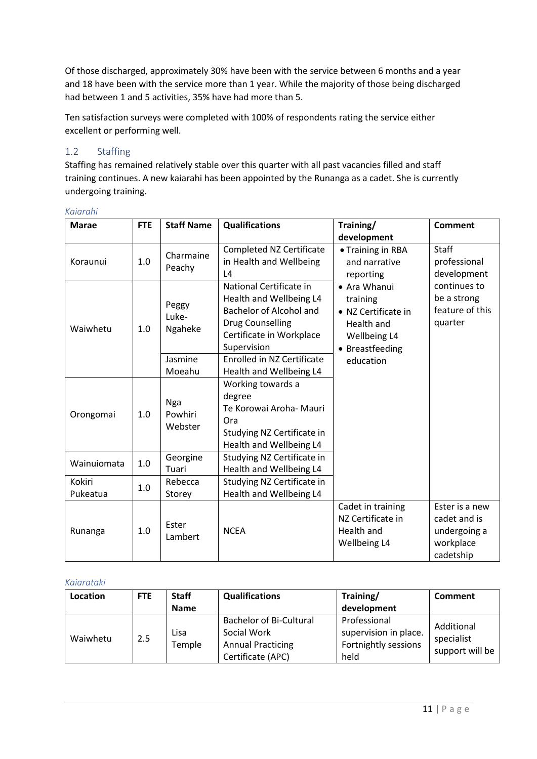Of those discharged, approximately 30% have been with the service between 6 months and a year and 18 have been with the service more than 1 year. While the majority of those being discharged had between 1 and 5 activities, 35% have had more than 5.

Ten satisfaction surveys were completed with 100% of respondents rating the service either excellent or performing well.

# <span id="page-11-0"></span>1.2 Staffing

Staffing has remained relatively stable over this quarter with all past vacancies filled and staff training continues. A new kaiarahi has been appointed by the Runanga as a cadet. She is currently undergoing training.

| Kaiarahi |  |
|----------|--|
|          |  |

| <b>Marae</b>       | <b>FTE</b> | <b>Staff Name</b>                | <b>Qualifications</b>                                                                                                                        | Training/<br>development                                                                         | <b>Comment</b>                                                           |
|--------------------|------------|----------------------------------|----------------------------------------------------------------------------------------------------------------------------------------------|--------------------------------------------------------------------------------------------------|--------------------------------------------------------------------------|
| Koraunui           | 1.0        | Charmaine<br>Peachy              | <b>Completed NZ Certificate</b><br>in Health and Wellbeing<br>L4                                                                             | • Training in RBA<br>and narrative<br>reporting                                                  | <b>Staff</b><br>professional<br>development                              |
| Waiwhetu           | 1.0        | Peggy<br>Luke-<br>Ngaheke        | National Certificate in<br>Health and Wellbeing L4<br>Bachelor of Alcohol and<br>Drug Counselling<br>Certificate in Workplace<br>Supervision | • Ara Whanui<br>training<br>• NZ Certificate in<br>Health and<br>Wellbeing L4<br>• Breastfeeding | continues to<br>be a strong<br>feature of this<br>quarter                |
|                    |            | Jasmine<br>Moeahu                | <b>Enrolled in NZ Certificate</b><br>Health and Wellbeing L4                                                                                 | education                                                                                        |                                                                          |
| Orongomai          | 1.0        | <b>Nga</b><br>Powhiri<br>Webster | Working towards a<br>degree<br>Te Korowai Aroha- Mauri<br>Ora<br>Studying NZ Certificate in<br>Health and Wellbeing L4                       |                                                                                                  |                                                                          |
| Wainuiomata        | 1.0        | Georgine<br>Tuari                | Studying NZ Certificate in<br>Health and Wellbeing L4                                                                                        |                                                                                                  |                                                                          |
| Kokiri<br>Pukeatua | 1.0        | Rebecca<br>Storey                | Studying NZ Certificate in<br>Health and Wellbeing L4                                                                                        |                                                                                                  |                                                                          |
| Runanga            | 1.0        | Ester<br>Lambert                 | <b>NCEA</b>                                                                                                                                  | Cadet in training<br>NZ Certificate in<br>Health and<br>Wellbeing L4                             | Ester is a new<br>cadet and is<br>undergoing a<br>workplace<br>cadetship |

#### *Kaiarataki*

| Location | <b>FTE</b> | <b>Staff</b>   | <b>Qualifications</b>                                                                          | Training/                                                             | <b>Comment</b>                              |
|----------|------------|----------------|------------------------------------------------------------------------------------------------|-----------------------------------------------------------------------|---------------------------------------------|
|          |            | <b>Name</b>    |                                                                                                | development                                                           |                                             |
| Waiwhetu | 2.5        | Lisa<br>Temple | <b>Bachelor of Bi-Cultural</b><br>Social Work<br><b>Annual Practicing</b><br>Certificate (APC) | Professional<br>supervision in place.<br>Fortnightly sessions<br>held | Additional<br>specialist<br>support will be |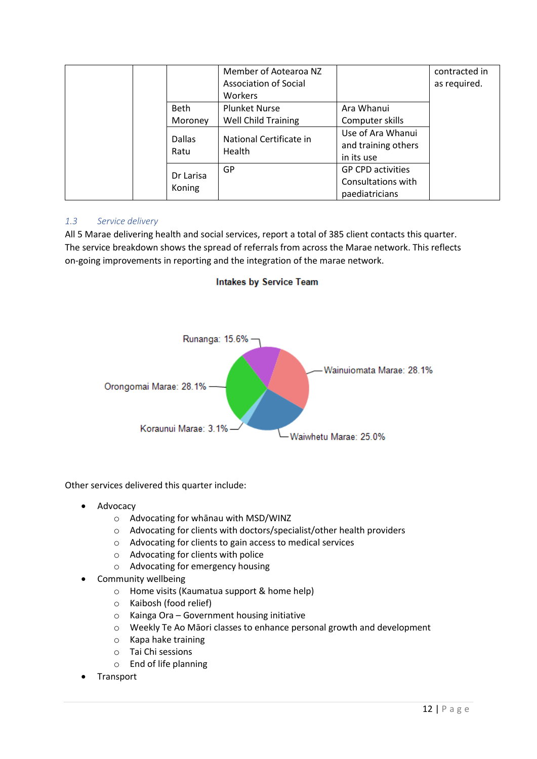|               | Member of Aotearoa NZ        |                          | contracted in |
|---------------|------------------------------|--------------------------|---------------|
|               | <b>Association of Social</b> |                          | as required.  |
|               | Workers                      |                          |               |
| <b>Beth</b>   | <b>Plunket Nurse</b>         | Ara Whanui               |               |
| Moroney       | Well Child Training          | Computer skills          |               |
| <b>Dallas</b> | National Certificate in      | Use of Ara Whanui        |               |
| Ratu          | Health                       | and training others      |               |
|               |                              | in its use               |               |
|               | GP                           | <b>GP CPD activities</b> |               |
| Dr Larisa     |                              | Consultations with       |               |
| Koning        |                              | paediatricians           |               |

## *1.3 Service delivery*

All 5 Marae delivering health and social services, report a total of 385 client contacts this quarter. The service breakdown shows the spread of referrals from across the Marae network. This reflects on-going improvements in reporting and the integration of the marae network.





Other services delivered this quarter include:

- **Advocacy** 
	- o Advocating for whānau with MSD/WINZ
	- o Advocating for clients with doctors/specialist/other health providers
	- o Advocating for clients to gain access to medical services
	- o Advocating for clients with police
	- o Advocating for emergency housing
- Community wellbeing
	- o Home visits (Kaumatua support & home help)
	- o Kaibosh (food relief)
	- o Kainga Ora Government housing initiative
	- o Weekly Te Ao Māori classes to enhance personal growth and development
	- o Kapa hake training
	- o Tai Chi sessions
	- o End of life planning
- **Transport**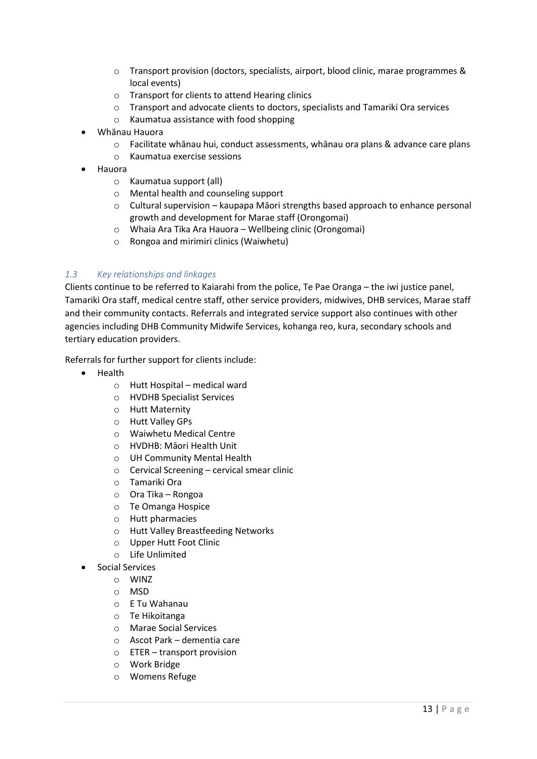- o Transport provision (doctors, specialists, airport, blood clinic, marae programmes & local events)
- o Transport for clients to attend Hearing clinics
- o Transport and advocate clients to doctors, specialists and Tamariki Ora services
- o Kaumatua assistance with food shopping
- Whānau Hauora
	- o Facilitate whānau hui, conduct assessments, whānau ora plans & advance care plans
	- o Kaumatua exercise sessions
- Hauora
	- o Kaumatua support (all)
	- o Mental health and counseling support
	- o Cultural supervision kaupapa Māori strengths based approach to enhance personal growth and development for Marae staff (Orongomai)
	- o Whaia Ara Tika Ara Hauora Wellbeing clinic (Orongomai)
	- o Rongoa and mirimiri clinics (Waiwhetu)

## *1.3 Key relationships and linkages*

Clients continue to be referred to Kaiarahi from the police, Te Pae Oranga – the iwi justice panel, Tamariki Ora staff, medical centre staff, other service providers, midwives, DHB services, Marae staff and their community contacts. Referrals and integrated service support also continues with other agencies including DHB Community Midwife Services, kohanga reo, kura, secondary schools and tertiary education providers.

Referrals for further support for clients include:

- Health
	- o Hutt Hospital medical ward
	- o HVDHB Specialist Services
	- o Hutt Maternity
	- o Hutt Valley GPs
	- o Waiwhetu Medical Centre
	- o HVDHB: Māori Health Unit
	- o UH Community Mental Health
	- $\circ$  Cervical Screening cervical smear clinic
	- o Tamariki Ora
	- o Ora Tika Rongoa
	- o Te Omanga Hospice
	- o Hutt pharmacies
	- o Hutt Valley Breastfeeding Networks
	- o Upper Hutt Foot Clinic
	- o Life Unlimited
	- Social Services
		- o WINZ
		- o MSD
		- o E Tu Wahanau
		- o Te Hikoitanga
		- o Marae Social Services
		- o Ascot Park dementia care
		- o ETER transport provision
		- o Work Bridge
		- o Womens Refuge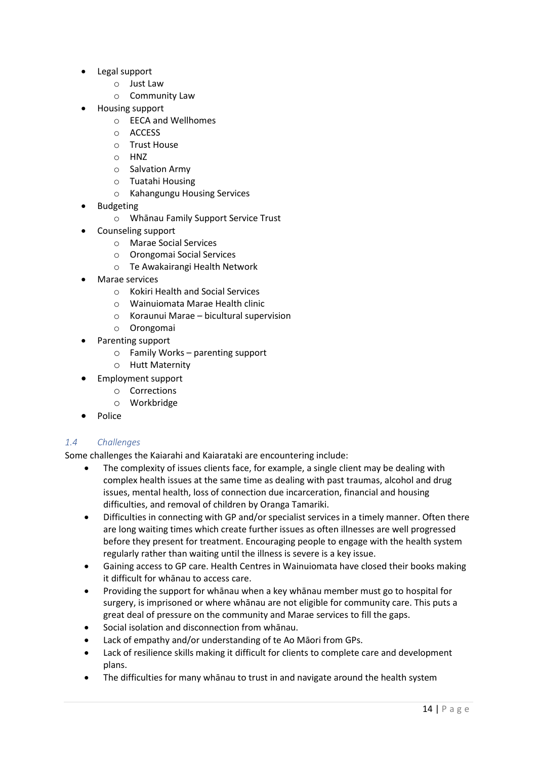- Legal support
	- o Just Law
	- o Community Law
- Housing support
	- o EECA and Wellhomes
	- o ACCESS
	- o Trust House
	- o HNZ
	- o Salvation Army
	- o Tuatahi Housing
	- o Kahangungu Housing Services
- **Budgeting** 
	- o Whānau Family Support Service Trust
- Counseling support
	- o Marae Social Services
	- o Orongomai Social Services
	- o Te Awakairangi Health Network
- Marae services
	- o Kokiri Health and Social Services
	- o Wainuiomata Marae Health clinic
	- o Koraunui Marae bicultural supervision
	- o Orongomai
- Parenting support
	- o Family Works parenting support
	- o Hutt Maternity
- Employment support
- o Corrections
	- o Workbridge
- Police

## *1.4 Challenges*

Some challenges the Kaiarahi and Kaiarataki are encountering include:

- The complexity of issues clients face, for example, a single client may be dealing with complex health issues at the same time as dealing with past traumas, alcohol and drug issues, mental health, loss of connection due incarceration, financial and housing difficulties, and removal of children by Oranga Tamariki.
- Difficulties in connecting with GP and/or specialist services in a timely manner. Often there are long waiting times which create further issues as often illnesses are well progressed before they present for treatment. Encouraging people to engage with the health system regularly rather than waiting until the illness is severe is a key issue.
- Gaining access to GP care. Health Centres in Wainuiomata have closed their books making it difficult for whānau to access care.
- Providing the support for whānau when a key whānau member must go to hospital for surgery, is imprisoned or where whānau are not eligible for community care. This puts a great deal of pressure on the community and Marae services to fill the gaps.
- Social isolation and disconnection from whānau.
- Lack of empathy and/or understanding of te Ao Māori from GPs.
- Lack of resilience skills making it difficult for clients to complete care and development plans.
- The difficulties for many whānau to trust in and navigate around the health system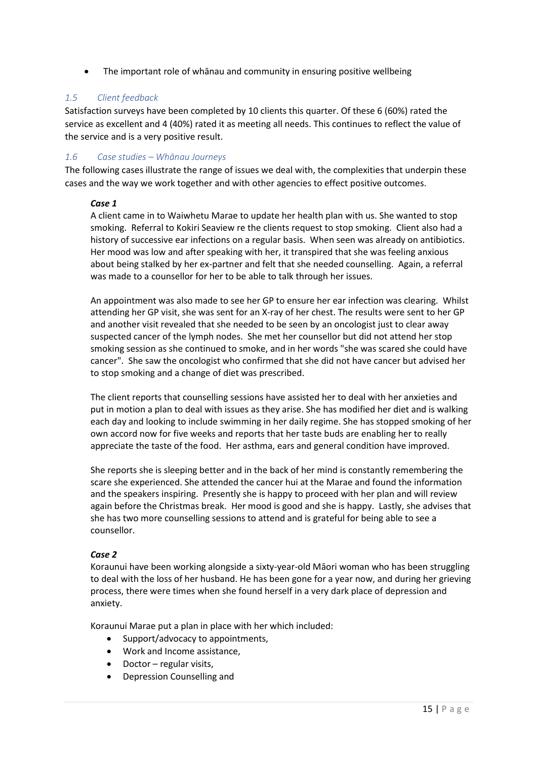• The important role of whānau and community in ensuring positive wellbeing

# *1.5 Client feedback*

Satisfaction surveys have been completed by 10 clients this quarter. Of these 6 (60%) rated the service as excellent and 4 (40%) rated it as meeting all needs. This continues to reflect the value of the service and is a very positive result.

## *1.6 Case studies – Whānau Journeys*

The following cases illustrate the range of issues we deal with, the complexities that underpin these cases and the way we work together and with other agencies to effect positive outcomes.

#### *Case 1*

A client came in to Waiwhetu Marae to update her health plan with us. She wanted to stop smoking. Referral to Kokiri Seaview re the clients request to stop smoking. Client also had a history of successive ear infections on a regular basis. When seen was already on antibiotics. Her mood was low and after speaking with her, it transpired that she was feeling anxious about being stalked by her ex-partner and felt that she needed counselling. Again, a referral was made to a counsellor for her to be able to talk through her issues.

An appointment was also made to see her GP to ensure her ear infection was clearing. Whilst attending her GP visit, she was sent for an X-ray of her chest. The results were sent to her GP and another visit revealed that she needed to be seen by an oncologist just to clear away suspected cancer of the lymph nodes. She met her counsellor but did not attend her stop smoking session as she continued to smoke, and in her words "she was scared she could have cancer". She saw the oncologist who confirmed that she did not have cancer but advised her to stop smoking and a change of diet was prescribed.

The client reports that counselling sessions have assisted her to deal with her anxieties and put in motion a plan to deal with issues as they arise. She has modified her diet and is walking each day and looking to include swimming in her daily regime. She has stopped smoking of her own accord now for five weeks and reports that her taste buds are enabling her to really appreciate the taste of the food. Her asthma, ears and general condition have improved.

She reports she is sleeping better and in the back of her mind is constantly remembering the scare she experienced. She attended the cancer hui at the Marae and found the information and the speakers inspiring. Presently she is happy to proceed with her plan and will review again before the Christmas break. Her mood is good and she is happy. Lastly, she advises that she has two more counselling sessions to attend and is grateful for being able to see a counsellor.

#### *Case 2*

Koraunui have been working alongside a sixty-year-old Māori woman who has been struggling to deal with the loss of her husband. He has been gone for a year now, and during her grieving process, there were times when she found herself in a very dark place of depression and anxiety.

Koraunui Marae put a plan in place with her which included:

- Support/advocacy to appointments,
- Work and Income assistance,
- Doctor regular visits,
- Depression Counselling and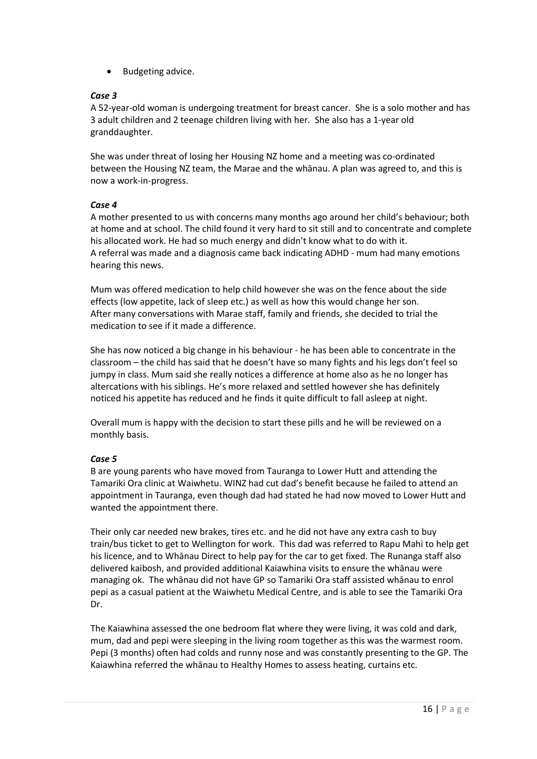• Budgeting advice.

#### *Case 3*

A 52-year-old woman is undergoing treatment for breast cancer. She is a solo mother and has 3 adult children and 2 teenage children living with her. She also has a 1-year old granddaughter.

She was under threat of losing her Housing NZ home and a meeting was co-ordinated between the Housing NZ team, the Marae and the whānau. A plan was agreed to, and this is now a work-in-progress.

## *Case 4*

A mother presented to us with concerns many months ago around her child's behaviour; both at home and at school. The child found it very hard to sit still and to concentrate and complete his allocated work. He had so much energy and didn't know what to do with it. A referral was made and a diagnosis came back indicating ADHD - mum had many emotions hearing this news.

Mum was offered medication to help child however she was on the fence about the side effects (low appetite, lack of sleep etc.) as well as how this would change her son. After many conversations with Marae staff, family and friends, she decided to trial the medication to see if it made a difference.

She has now noticed a big change in his behaviour - he has been able to concentrate in the classroom – the child has said that he doesn't have so many fights and his legs don't feel so jumpy in class. Mum said she really notices a difference at home also as he no longer has altercations with his siblings. He's more relaxed and settled however she has definitely noticed his appetite has reduced and he finds it quite difficult to fall asleep at night.

Overall mum is happy with the decision to start these pills and he will be reviewed on a monthly basis.

## *Case 5*

B are young parents who have moved from Tauranga to Lower Hutt and attending the Tamariki Ora clinic at Waiwhetu. WINZ had cut dad's benefit because he failed to attend an appointment in Tauranga, even though dad had stated he had now moved to Lower Hutt and wanted the appointment there.

Their only car needed new brakes, tires etc. and he did not have any extra cash to buy train/bus ticket to get to Wellington for work. This dad was referred to Rapu Mahi to help get his licence, and to Whānau Direct to help pay for the car to get fixed. The Runanga staff also delivered kaibosh, and provided additional Kaiawhina visits to ensure the whānau were managing ok. The whānau did not have GP so Tamariki Ora staff assisted whānau to enrol pepi as a casual patient at the Waiwhetu Medical Centre, and is able to see the Tamariki Ora Dr.

The Kaiawhina assessed the one bedroom flat where they were living, it was cold and dark, mum, dad and pepi were sleeping in the living room together as this was the warmest room. Pepi (3 months) often had colds and runny nose and was constantly presenting to the GP. The Kaiawhina referred the whānau to Healthy Homes to assess heating, curtains etc.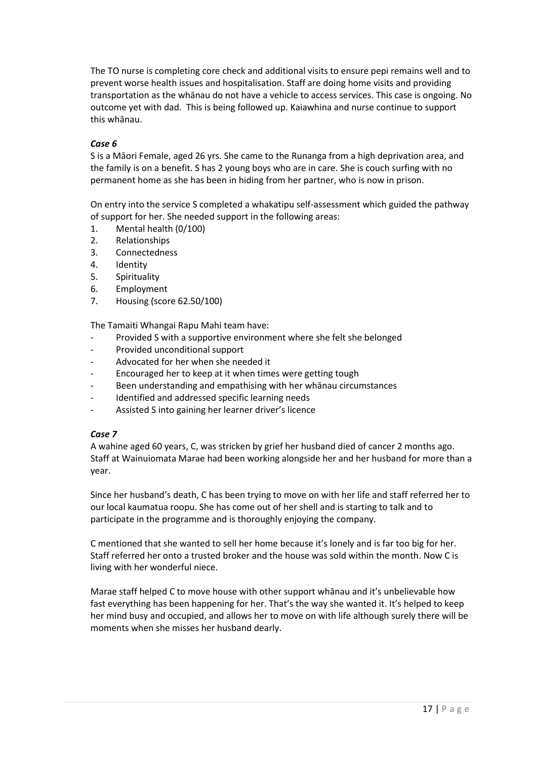The TO nurse is completing core check and additional visits to ensure pepi remains well and to prevent worse health issues and hospitalisation. Staff are doing home visits and providing transportation as the whānau do not have a vehicle to access services. This case is ongoing. No outcome yet with dad. This is being followed up. Kaiawhina and nurse continue to support this whānau.

## *Case 6*

S is a Māori Female, aged 26 yrs. She came to the Runanga from a high deprivation area, and the family is on a benefit. S has 2 young boys who are in care. She is couch surfing with no permanent home as she has been in hiding from her partner, who is now in prison.

On entry into the service S completed a whakatipu self-assessment which guided the pathway of support for her. She needed support in the following areas:

- 1. Mental health (0/100)
- 2. Relationships
- 3. Connectedness
- 4. Identity
- 5. Spirituality
- 6. Employment
- 7. Housing (score 62.50/100)

The Tamaiti Whangai Rapu Mahi team have:

- Provided S with a supportive environment where she felt she belonged
- Provided unconditional support
- Advocated for her when she needed it
- Encouraged her to keep at it when times were getting tough
- Been understanding and empathising with her whānau circumstances
- Identified and addressed specific learning needs
- Assisted S into gaining her learner driver's licence

## *Case 7*

A wahine aged 60 years, C, was stricken by grief her husband died of cancer 2 months ago. Staff at Wainuiomata Marae had been working alongside her and her husband for more than a year.

Since her husband's death, C has been trying to move on with her life and staff referred her to our local kaumatua roopu. She has come out of her shell and is starting to talk and to participate in the programme and is thoroughly enjoying the company.

C mentioned that she wanted to sell her home because it's lonely and is far too big for her. Staff referred her onto a trusted broker and the house was sold within the month. Now C is living with her wonderful niece.

Marae staff helped C to move house with other support whānau and it's unbelievable how fast everything has been happening for her. That's the way she wanted it. It's helped to keep her mind busy and occupied, and allows her to move on with life although surely there will be moments when she misses her husband dearly.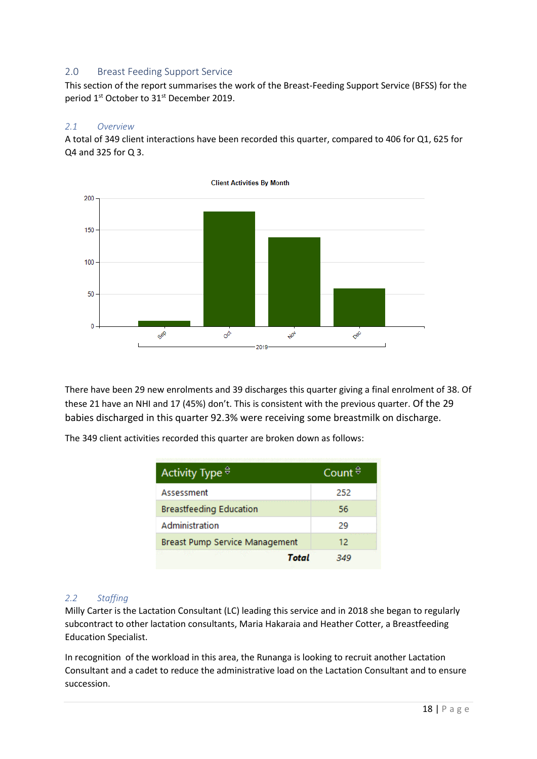# <span id="page-18-0"></span>2.0 Breast Feeding Support Service

This section of the report summarises the work of the Breast-Feeding Support Service (BFSS) for the period 1<sup>st</sup> October to 31<sup>st</sup> December 2019.

#### *2.1 Overview*

A total of 349 client interactions have been recorded this quarter, compared to 406 for Q1, 625 for Q4 and 325 for Q 3.



There have been 29 new enrolments and 39 discharges this quarter giving a final enrolment of 38. Of these 21 have an NHI and 17 (45%) don't. This is consistent with the previous quarter. Of the 29 babies discharged in this quarter 92.3% were receiving some breastmilk on discharge.

The 349 client activities recorded this quarter are broken down as follows:

| Activity Type $\stackrel{\ominus}{\circ}$ | Count $\vec{v}$ |
|-------------------------------------------|-----------------|
| Assessment                                | 252             |
| <b>Breastfeeding Education</b>            | 56              |
| Administration                            | 29              |
| Breast Pump Service Management            | 12.             |
| Total                                     |                 |

## *2.2 Staffing*

Milly Carter is the Lactation Consultant (LC) leading this service and in 2018 she began to regularly subcontract to other lactation consultants, Maria Hakaraia and Heather Cotter, a Breastfeeding Education Specialist.

In recognition of the workload in this area, the Runanga is looking to recruit another Lactation Consultant and a cadet to reduce the administrative load on the Lactation Consultant and to ensure succession.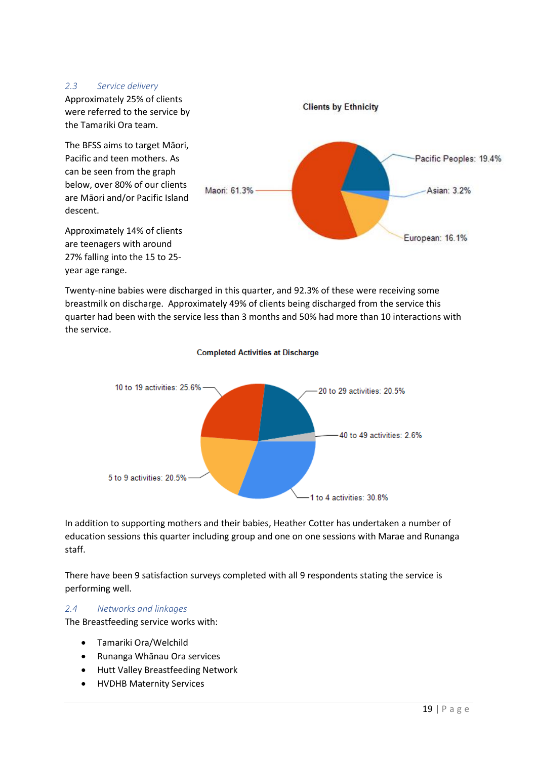#### *2.3 Service delivery*



Twenty-nine babies were discharged in this quarter, and 92.3% of these were receiving some breastmilk on discharge. Approximately 49% of clients being discharged from the service this quarter had been with the service less than 3 months and 50% had more than 10 interactions with the service.



**Completed Activities at Discharge** 

In addition to supporting mothers and their babies, Heather Cotter has undertaken a number of education sessions this quarter including group and one on one sessions with Marae and Runanga staff.

There have been 9 satisfaction surveys completed with all 9 respondents stating the service is performing well.

# *2.4 Networks and linkages*

The Breastfeeding service works with:

- Tamariki Ora/Welchild
- Runanga Whānau Ora services
- Hutt Valley Breastfeeding Network
- HVDHB Maternity Services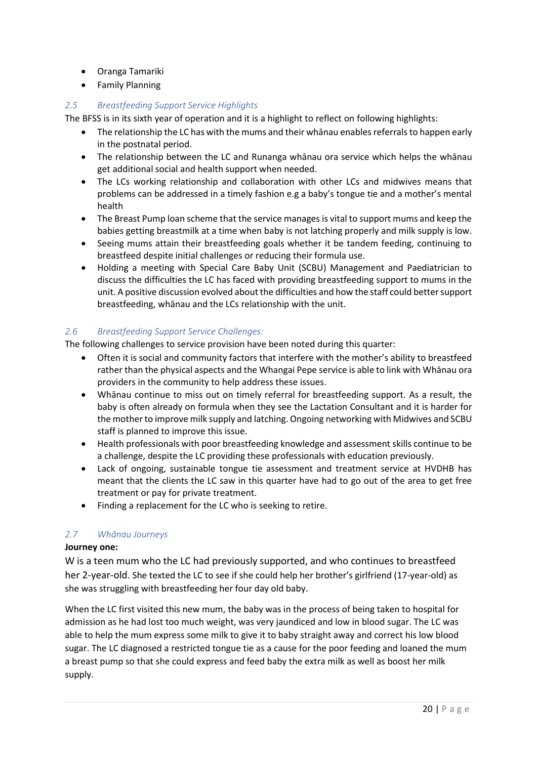- Oranga Tamariki
- Family Planning

# *2.5 Breastfeeding Support Service Highlights*

The BFSS is in its sixth year of operation and it is a highlight to reflect on following highlights:

- The relationship the LC has with the mums and their whānau enables referrals to happen early in the postnatal period.
- The relationship between the LC and Runanga whānau ora service which helps the whānau get additional social and health support when needed.
- The LCs working relationship and collaboration with other LCs and midwives means that problems can be addressed in a timely fashion e.g a baby's tongue tie and a mother's mental health
- The Breast Pump loan scheme that the service manages is vital to support mums and keep the babies getting breastmilk at a time when baby is not latching properly and milk supply is low.
- Seeing mums attain their breastfeeding goals whether it be tandem feeding, continuing to breastfeed despite initial challenges or reducing their formula use.
- Holding a meeting with Special Care Baby Unit (SCBU) Management and Paediatrician to discuss the difficulties the LC has faced with providing breastfeeding support to mums in the unit. A positive discussion evolved about the difficulties and how the staff could better support breastfeeding, whānau and the LCs relationship with the unit.

## *2.6 Breastfeeding Support Service Challenges:*

The following challenges to service provision have been noted during this quarter:

- Often it is social and community factors that interfere with the mother's ability to breastfeed rather than the physical aspects and the Whangai Pepe service is able to link with Whānau ora providers in the community to help address these issues.
- Whānau continue to miss out on timely referral for breastfeeding support. As a result, the baby is often already on formula when they see the Lactation Consultant and it is harder for the mother to improve milk supply and latching. Ongoing networking with Midwives and SCBU staff is planned to improve this issue.
- Health professionals with poor breastfeeding knowledge and assessment skills continue to be a challenge, despite the LC providing these professionals with education previously.
- Lack of ongoing, sustainable tongue tie assessment and treatment service at HVDHB has meant that the clients the LC saw in this quarter have had to go out of the area to get free treatment or pay for private treatment.
- Finding a replacement for the LC who is seeking to retire.

# *2.7 Whānau Journeys*

## **Journey one:**

W is a teen mum who the LC had previously supported, and who continues to breastfeed her 2-year-old. She texted the LC to see if she could help her brother's girlfriend (17-year-old) as she was struggling with breastfeeding her four day old baby.

When the LC first visited this new mum, the baby was in the process of being taken to hospital for admission as he had lost too much weight, was very jaundiced and low in blood sugar. The LC was able to help the mum express some milk to give it to baby straight away and correct his low blood sugar. The LC diagnosed a restricted tongue tie as a cause for the poor feeding and loaned the mum a breast pump so that she could express and feed baby the extra milk as well as boost her milk supply.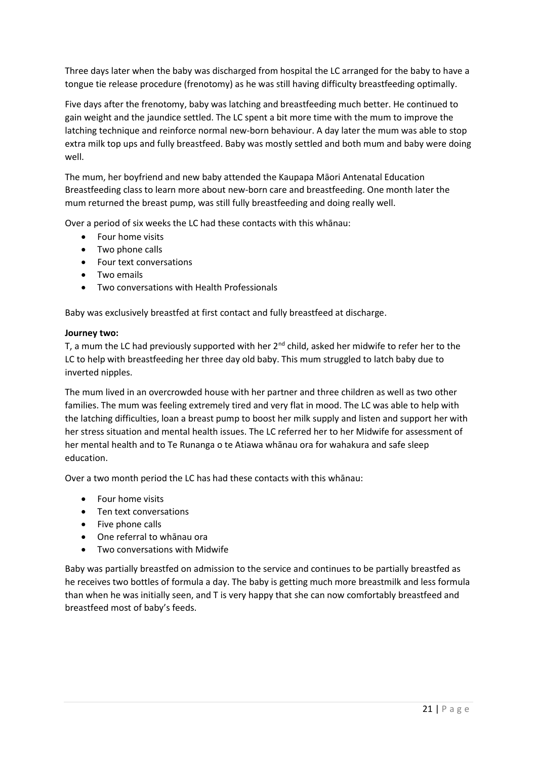Three days later when the baby was discharged from hospital the LC arranged for the baby to have a tongue tie release procedure (frenotomy) as he was still having difficulty breastfeeding optimally.

Five days after the frenotomy, baby was latching and breastfeeding much better. He continued to gain weight and the jaundice settled. The LC spent a bit more time with the mum to improve the latching technique and reinforce normal new-born behaviour. A day later the mum was able to stop extra milk top ups and fully breastfeed. Baby was mostly settled and both mum and baby were doing well.

The mum, her boyfriend and new baby attended the Kaupapa Māori Antenatal Education Breastfeeding class to learn more about new-born care and breastfeeding. One month later the mum returned the breast pump, was still fully breastfeeding and doing really well.

Over a period of six weeks the LC had these contacts with this whānau:

- Four home visits
- Two phone calls
- Four text conversations
- Two emails
- Two conversations with Health Professionals

Baby was exclusively breastfed at first contact and fully breastfeed at discharge.

#### **Journey two:**

T, a mum the LC had previously supported with her  $2^{nd}$  child, asked her midwife to refer her to the LC to help with breastfeeding her three day old baby. This mum struggled to latch baby due to inverted nipples.

The mum lived in an overcrowded house with her partner and three children as well as two other families. The mum was feeling extremely tired and very flat in mood. The LC was able to help with the latching difficulties, loan a breast pump to boost her milk supply and listen and support her with her stress situation and mental health issues. The LC referred her to her Midwife for assessment of her mental health and to Te Runanga o te Atiawa whānau ora for wahakura and safe sleep education.

Over a two month period the LC has had these contacts with this whānau:

- Four home visits
- Ten text conversations
- Five phone calls
- One referral to whānau ora
- Two conversations with Midwife

Baby was partially breastfed on admission to the service and continues to be partially breastfed as he receives two bottles of formula a day. The baby is getting much more breastmilk and less formula than when he was initially seen, and T is very happy that she can now comfortably breastfeed and breastfeed most of baby's feeds.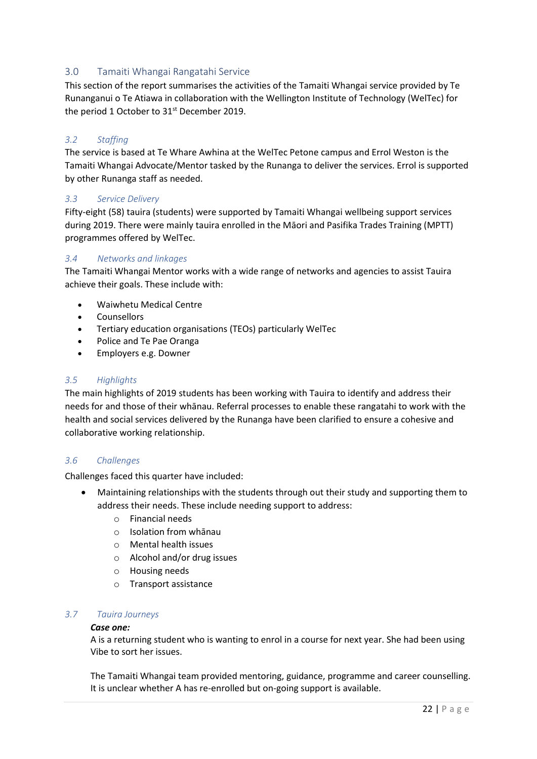# <span id="page-22-0"></span>3.0 Tamaiti Whangai Rangatahi Service

This section of the report summarises the activities of the Tamaiti Whangai service provided by Te Runanganui o Te Atiawa in collaboration with the Wellington Institute of Technology (WelTec) for the period 1 October to 31<sup>st</sup> December 2019.

## *3.2 Staffing*

The service is based at Te Whare Awhina at the WelTec Petone campus and Errol Weston is the Tamaiti Whangai Advocate/Mentor tasked by the Runanga to deliver the services. Errol is supported by other Runanga staff as needed.

## *3.3 Service Delivery*

Fifty-eight (58) tauira (students) were supported by Tamaiti Whangai wellbeing support services during 2019. There were mainly tauira enrolled in the Māori and Pasifika Trades Training (MPTT) programmes offered by WelTec.

#### *3.4 Networks and linkages*

The Tamaiti Whangai Mentor works with a wide range of networks and agencies to assist Tauira achieve their goals. These include with:

- Waiwhetu Medical Centre
- Counsellors
- Tertiary education organisations (TEOs) particularly WelTec
- Police and Te Pae Oranga
- Employers e.g. Downer

#### *3.5 Highlights*

The main highlights of 2019 students has been working with Tauira to identify and address their needs for and those of their whānau. Referral processes to enable these rangatahi to work with the health and social services delivered by the Runanga have been clarified to ensure a cohesive and collaborative working relationship.

#### *3.6 Challenges*

Challenges faced this quarter have included:

- Maintaining relationships with the students through out their study and supporting them to address their needs. These include needing support to address:
	- o Financial needs
	- o Isolation from whānau
	- o Mental health issues
	- o Alcohol and/or drug issues
	- o Housing needs
	- o Transport assistance

#### *3.7 Tauira Journeys*

#### *Case one:*

A is a returning student who is wanting to enrol in a course for next year. She had been using Vibe to sort her issues.

The Tamaiti Whangai team provided mentoring, guidance, programme and career counselling. It is unclear whether A has re-enrolled but on-going support is available.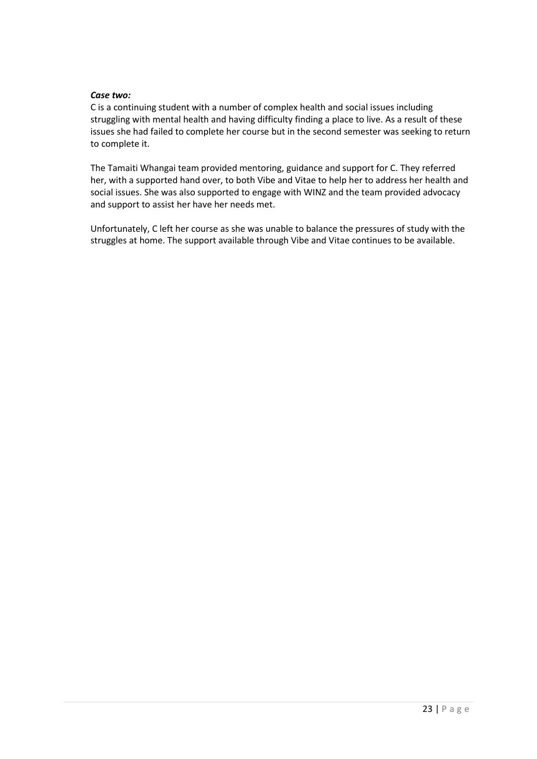#### *Case two:*

C is a continuing student with a number of complex health and social issues including struggling with mental health and having difficulty finding a place to live. As a result of these issues she had failed to complete her course but in the second semester was seeking to return to complete it.

The Tamaiti Whangai team provided mentoring, guidance and support for C. They referred her, with a supported hand over, to both Vibe and Vitae to help her to address her health and social issues. She was also supported to engage with WINZ and the team provided advocacy and support to assist her have her needs met.

Unfortunately, C left her course as she was unable to balance the pressures of study with the struggles at home. The support available through Vibe and Vitae continues to be available.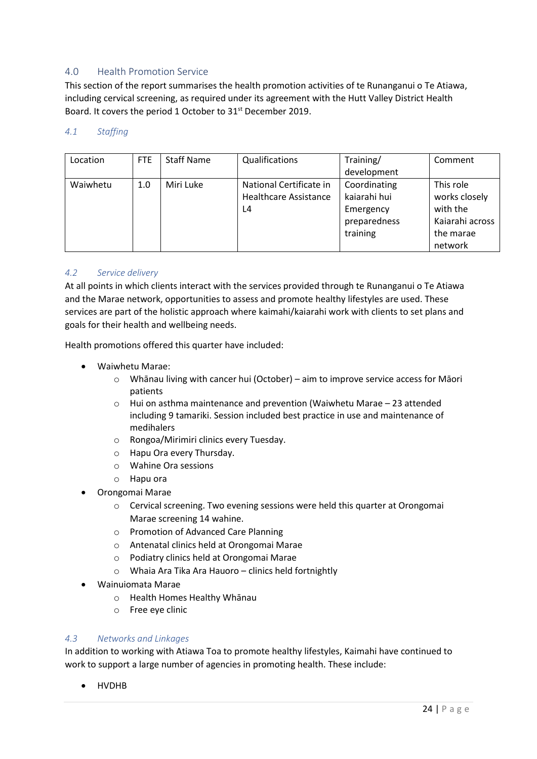# <span id="page-24-0"></span>4.0 Health Promotion Service

This section of the report summarises the health promotion activities of te Runanganui o Te Atiawa, including cervical screening, as required under its agreement with the Hutt Valley District Health Board. It covers the period 1 October to 31<sup>st</sup> December 2019.

#### *4.1 Staffing*

| Location | FTE | <b>Staff Name</b> | Qualifications               | Training/    | Comment         |
|----------|-----|-------------------|------------------------------|--------------|-----------------|
|          |     |                   |                              | development  |                 |
| Waiwhetu | 1.0 | Miri Luke         | National Certificate in      | Coordinating | This role       |
|          |     |                   | <b>Healthcare Assistance</b> | kaiarahi hui | works closely   |
|          |     |                   | L4                           | Emergency    | with the        |
|          |     |                   |                              | preparedness | Kaiarahi across |
|          |     |                   |                              | training     | the marae       |
|          |     |                   |                              |              | network         |

#### *4.2 Service delivery*

At all points in which clients interact with the services provided through te Runanganui o Te Atiawa and the Marae network, opportunities to assess and promote healthy lifestyles are used. These services are part of the holistic approach where kaimahi/kaiarahi work with clients to set plans and goals for their health and wellbeing needs.

Health promotions offered this quarter have included:

- Waiwhetu Marae:
	- o Whānau living with cancer hui (October) aim to improve service access for Māori patients
	- o Hui on asthma maintenance and prevention (Waiwhetu Marae 23 attended including 9 tamariki. Session included best practice in use and maintenance of medihalers
	- o Rongoa/Mirimiri clinics every Tuesday.
	- o Hapu Ora every Thursday.
	- o Wahine Ora sessions
	- o Hapu ora
- Orongomai Marae
	- o Cervical screening. Two evening sessions were held this quarter at Orongomai Marae screening 14 wahine.
	- o Promotion of Advanced Care Planning
	- o Antenatal clinics held at Orongomai Marae
	- o Podiatry clinics held at Orongomai Marae
	- o Whaia Ara Tika Ara Hauoro clinics held fortnightly
- Wainuiomata Marae
	- o Health Homes Healthy Whānau
	- o Free eye clinic

#### *4.3 Networks and Linkages*

In addition to working with Atiawa Toa to promote healthy lifestyles, Kaimahi have continued to work to support a large number of agencies in promoting health. These include:

• HVDHB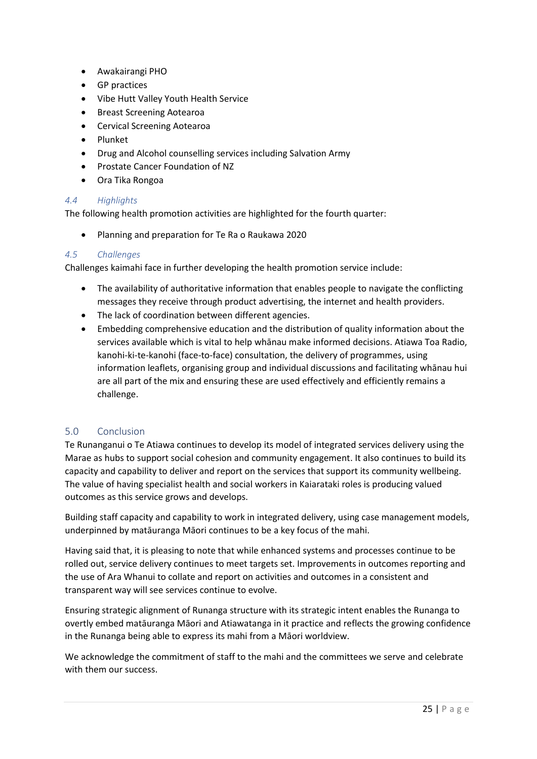- Awakairangi PHO
- GP practices
- Vibe Hutt Valley Youth Health Service
- Breast Screening Aotearoa
- Cervical Screening Aotearoa
- Plunket
- Drug and Alcohol counselling services including Salvation Army
- Prostate Cancer Foundation of NZ
- Ora Tika Rongoa

## *4.4 Highlights*

The following health promotion activities are highlighted for the fourth quarter:

• Planning and preparation for Te Ra o Raukawa 2020

#### *4.5 Challenges*

Challenges kaimahi face in further developing the health promotion service include:

- The availability of authoritative information that enables people to navigate the conflicting messages they receive through product advertising, the internet and health providers.
- The lack of coordination between different agencies.
- Embedding comprehensive education and the distribution of quality information about the services available which is vital to help whānau make informed decisions. Atiawa Toa Radio, kanohi-ki-te-kanohi (face-to-face) consultation, the delivery of programmes, using information leaflets, organising group and individual discussions and facilitating whānau hui are all part of the mix and ensuring these are used effectively and efficiently remains a challenge.

## <span id="page-25-0"></span>5.0 Conclusion

Te Runanganui o Te Atiawa continues to develop its model of integrated services delivery using the Marae as hubs to support social cohesion and community engagement. It also continues to build its capacity and capability to deliver and report on the services that support its community wellbeing. The value of having specialist health and social workers in Kaiarataki roles is producing valued outcomes as this service grows and develops.

Building staff capacity and capability to work in integrated delivery, using case management models, underpinned by matāuranga Māori continues to be a key focus of the mahi.

Having said that, it is pleasing to note that while enhanced systems and processes continue to be rolled out, service delivery continues to meet targets set. Improvements in outcomes reporting and the use of Ara Whanui to collate and report on activities and outcomes in a consistent and transparent way will see services continue to evolve.

Ensuring strategic alignment of Runanga structure with its strategic intent enables the Runanga to overtly embed matāuranga Māori and Atiawatanga in it practice and reflects the growing confidence in the Runanga being able to express its mahi from a Māori worldview.

We acknowledge the commitment of staff to the mahi and the committees we serve and celebrate with them our success.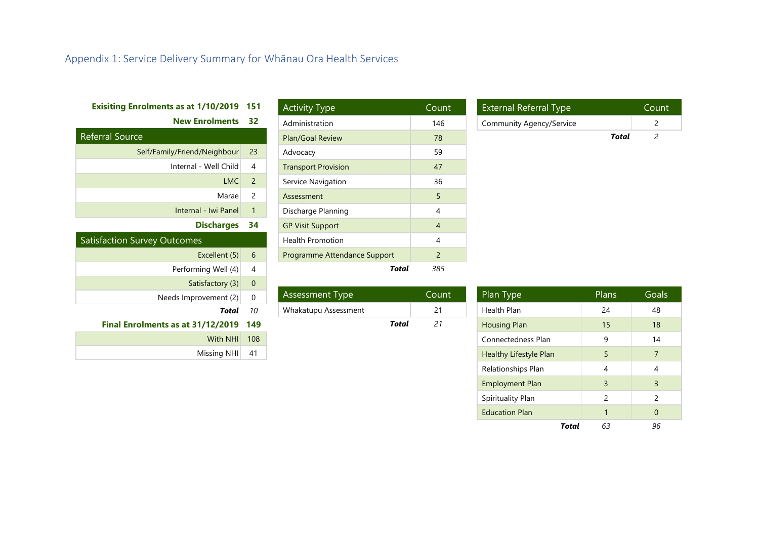# Appendix 1: Service Delivery Summary for Whānau Ora Health Services

# **Exisiting Enrolments as at 1/10/2019 151**

**New Enrolments 32**

| <b>Referral Source</b>       |               |  |  |  |
|------------------------------|---------------|--|--|--|
| Self/Family/Friend/Neighbour | 23            |  |  |  |
| Internal - Well Child        | 4             |  |  |  |
| LMC                          | $\mathcal{P}$ |  |  |  |
| Marae                        | $\mathcal{P}$ |  |  |  |
| Internal - Iwi Panel         | 1             |  |  |  |
| <b>Discharges</b>            |               |  |  |  |

<span id="page-26-0"></span>

| <b>Satisfaction Survey Outcomes</b> |          |
|-------------------------------------|----------|
| Excellent (5)                       | 6        |
| Performing Well (4)                 |          |
| Satisfactory (3)                    |          |
| Needs Improvement (2)               | $\Omega$ |
| Tota                                |          |

#### **Final Enrolments as at 31/12/2019 149**

| With NHI 108   |  |
|----------------|--|
| Missing NHI 41 |  |

| <b>Activity Type</b>         | Count         |
|------------------------------|---------------|
| Administration               | 146           |
| <b>Plan/Goal Review</b>      | 78            |
| Advocacy                     | 59            |
| <b>Transport Provision</b>   | 47            |
| Service Navigation           | 36            |
| Assessment                   | 5             |
| Discharge Planning           | 4             |
| <b>GP Visit Support</b>      | 4             |
| <b>Health Promotion</b>      | 4             |
| Programme Attendance Support | $\mathcal{P}$ |
| Total                        | 385           |

| Assessment Type      |       | Count |
|----------------------|-------|-------|
| Whakatupu Assessment |       | 21    |
|                      | Total | 21    |

| <b>External Referral Type</b> |       | Count |
|-------------------------------|-------|-------|
| Community Agency/Service      |       |       |
|                               | Total |       |

| Plan Type              | Plans         | Goals          |
|------------------------|---------------|----------------|
| Health Plan            | 24            | 48             |
| <b>Housing Plan</b>    | 15            | 18             |
| Connectedness Plan     | 9             | 14             |
| Healthy Lifestyle Plan | 5             | $\overline{7}$ |
| Relationships Plan     | 4             | 4              |
| <b>Employment Plan</b> | 3             | 3              |
| Spirituality Plan      | $\mathcal{P}$ | $\mathfrak{p}$ |
| <b>Education Plan</b>  | 1             | $\Omega$       |
| Total                  | 63            | 96             |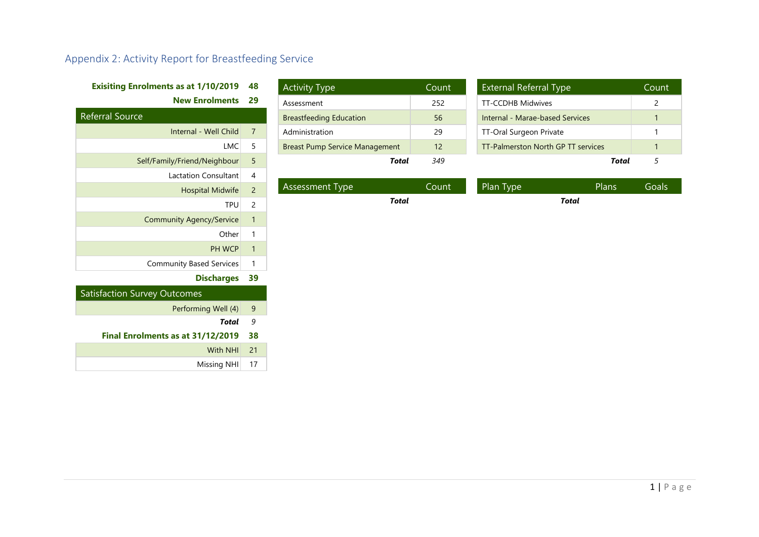# Appendix 2: Activity Report for Breastfeeding Service

# **Exisiting Enrolments as at 1/10/2019 48**

**New Enrolments 29**

| <b>Referral Source</b>          |                |
|---------------------------------|----------------|
| Internal - Well Child           | 7              |
| LMC                             | 5              |
| Self/Family/Friend/Neighbour    | 5              |
| Lactation Consultant            | $\overline{4}$ |
| <b>Hospital Midwife</b>         | $\overline{2}$ |
| <b>TPU</b>                      | 2              |
| <b>Community Agency/Service</b> | $\mathbf{1}$   |
| Other                           | 1              |
| <b>PH WCP</b>                   | 1              |
| <b>Community Based Services</b> | 1              |
|                                 |                |

# **Discharges 39**

<span id="page-27-0"></span>

| <b>Satisfaction Survey Outcomes</b> |    |  |
|-------------------------------------|----|--|
| Performing Well (4)                 | 9  |  |
| Total                               | 9  |  |
| Final Enrolments as at 31/12/2019   | 38 |  |
| <b>With NHI</b>                     | 21 |  |
| Missing NHI                         |    |  |

| <b>Activity Type</b>                  | Count |
|---------------------------------------|-------|
| Assessment                            | 252   |
| <b>Breastfeeding Education</b>        | 56    |
| Administration                        | 29    |
| <b>Breast Pump Service Management</b> | 12    |
| Total                                 | 349   |

| <b>External Referral Type</b>      | Count |
|------------------------------------|-------|
| <b>TT-CCDHB Midwives</b>           |       |
| Internal - Marae-based Services    |       |
| TT-Oral Surgeon Private            |       |
| TT-Palmerston North GP TT services |       |
| Total                              |       |

| Assessment Type | Count' | Plan Type | Plans | Goals <sup>1</sup> |
|-----------------|--------|-----------|-------|--------------------|
|                 | Total  |           | Total |                    |